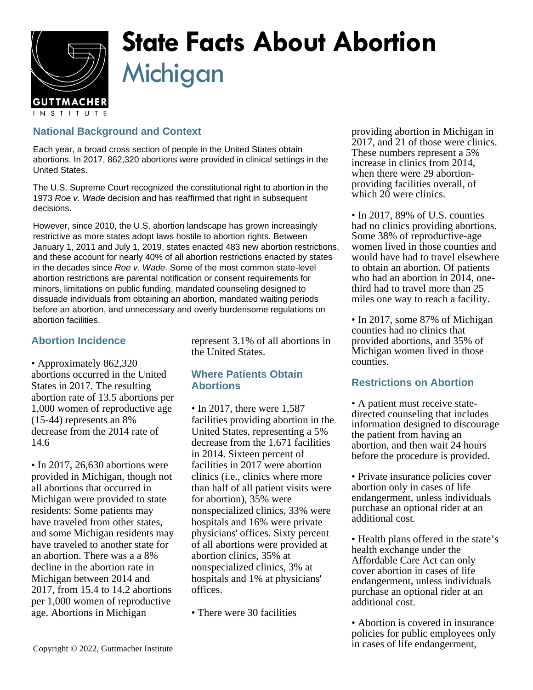

# **State Facts About Abortion Michigan**

## **National Background and Context**

Each year, a broad cross section of people in the United States obtain abortions. In 2017, 862,320 abortions were provided in clinical settings in the United States.

The U.S. Supreme Court recognized the constitutional right to abortion in the 1973 Roe v. Wade decision and has reaffirmed that right in subsequent decisions.

However, since 2010, the U.S. abortion landscape has grown increasingly restrictive as more states adopt laws hostile to abortion rights. Between January 1, 2011 and July 1, 2019, states enacted 483 new abortion restrictions, and these account for nearly 40% of all abortion restrictions enacted by states in the decades since Roe v. Wade. Some of the most common state-level abortion restrictions are parental notification or consent requirements for minors, limitations on public funding, mandated counseling designed to dissuade individuals from obtaining an abortion, mandated waiting periods before an abortion, and unnecessary and overly burdensome regulations on abortion facilities.

## **Abortion Incidence**

• Approximately 862,320 abortions occurred in the United States in 2017. The resulting abortion rate of 13.5 abortions per 1,000 women of reproductive age (15-44) represents an 8% decrease from the 2014 rate of 14.6

• In 2017, 26,630 abortions were provided in Michigan, though not all abortions that occurred in Michigan were provided to state residents: Some patients may have traveled from other states, and some Michigan residents may have traveled to another state for an abortion. There was a a 8% decline in the abortion rate in Michigan between 2014 and 2017, from 15.4 to 14.2 abortions per 1,000 women of reproductive age. Abortions in Michigan

represent 3.1% of all abortions in the United States.

### **Where Patients Obtain Abortions**

- In 2017, there were 1,587 facilities providing abortion in the United States, representing a 5% decrease from the 1,671 facilities in 2014. Sixteen percent of facilities in 2017 were abortion clinics (i.e., clinics where more than half of all patient visits were for abortion), 35% were nonspecialized clinics, 33% were hospitals and 16% were private physicians' offices. Sixty percent of all abortions were provided at abortion clinics, 35% at nonspecialized clinics, 3% at hospitals and 1% at physicians' offices.
- There were 30 facilities

providing abortion in Michigan in 2017, and 21 of those were clinics. These numbers represent a 5% increase in clinics from 2014, when there were 29 abortionproviding facilities overall, of which 20 were clinics.

• In 2017, 89% of U.S. counties had no clinics providing abortions. Some 38% of reproductive-age women lived in those counties and would have had to travel elsewhere to obtain an abortion. Of patients who had an abortion in 2014, onethird had to travel more than 25 miles one way to reach a facility.

• In 2017, some 87% of Michigan counties had no clinics that provided abortions, and 35% of Michigan women lived in those counties.

### **Restrictions on Abortion**

- A patient must receive statedirected counseling that includes information designed to discourage the patient from having an abortion, and then wait 24 hours before the procedure is provided.
- Private insurance policies cover abortion only in cases of life endangerment, unless individuals purchase an optional rider at an additional cost.
- Health plans offered in the state's health exchange under the Affordable Care Act can only cover abortion in cases of life endangerment, unless individuals purchase an optional rider at an additional cost.
- Abortion is covered in insurance policies for public employees only in cases of life endangerment,